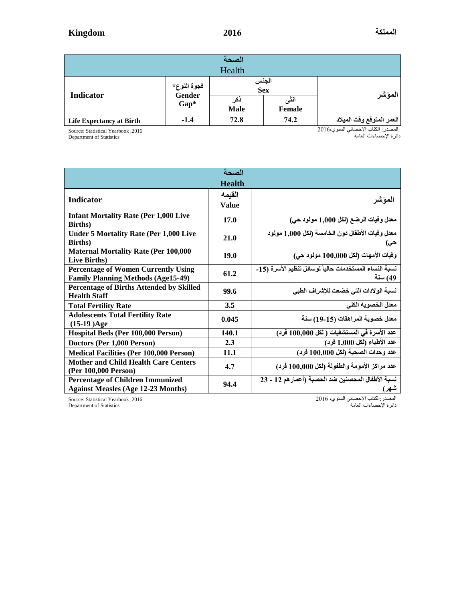|                                 |                               | الصحة              |                |                           |  |  |  |
|---------------------------------|-------------------------------|--------------------|----------------|---------------------------|--|--|--|
| Health                          |                               |                    |                |                           |  |  |  |
| Indicator                       | فجوة النوع*<br>Gender<br>Gap* | الجنس<br>Sex       |                | المؤشر                    |  |  |  |
|                                 |                               | دکر<br><b>Male</b> | اننى<br>Female |                           |  |  |  |
| <b>Life Expectancy at Birth</b> | $-1.4$                        | 72.8               | 74.2           | العمر المتوقع وقت الميلاد |  |  |  |

Source: Statistical Yearbook ,2016

Department of Statistics

المصدر : الكتاب الإحصـائي السنوي6166 دائرة اإلحصاءات العامة

| الصحة                                           |               |                                                        |  |  |  |  |  |
|-------------------------------------------------|---------------|--------------------------------------------------------|--|--|--|--|--|
|                                                 | <b>Health</b> |                                                        |  |  |  |  |  |
|                                                 | القيمه        |                                                        |  |  |  |  |  |
| <b>Indicator</b>                                | <b>Value</b>  | الموشر                                                 |  |  |  |  |  |
| <b>Infant Mortality Rate (Per 1,000 Live</b>    | 17.0          | معدل وفيات الرضع (لكل 1,000 مولود حي)                  |  |  |  |  |  |
| <b>Births</b> )                                 |               |                                                        |  |  |  |  |  |
| <b>Under 5 Mortality Rate (Per 1,000 Live</b>   | 21.0          | معدل وفيات الأطفال دون الخامسة (لكل 1,000 مولود        |  |  |  |  |  |
| <b>Births</b> )                                 |               | حى)                                                    |  |  |  |  |  |
| <b>Maternal Mortality Rate (Per 100,000</b>     | 19.0          | وفيات الأمهات (لكل 100,000 مولود حي)                   |  |  |  |  |  |
| Live Births)                                    |               |                                                        |  |  |  |  |  |
| <b>Percentage of Women Currently Using</b>      | 61.2          | نسبة النساء المستخدمات حالياً لوسائل تنظيم الأسرة (15- |  |  |  |  |  |
| <b>Family Planning Methods (Age15-49)</b>       |               | 49) سنة                                                |  |  |  |  |  |
| <b>Percentage of Births Attended by Skilled</b> | 99.6          | نسبة الولادات التي خضعت للإشراف الطبي                  |  |  |  |  |  |
| <b>Health Staff</b>                             |               |                                                        |  |  |  |  |  |
| <b>Total Fertility Rate</b>                     | 3.5           | معدل الخصوبه الكلى                                     |  |  |  |  |  |
| <b>Adolescents Total Fertility Rate</b>         | 0.045         | معدل خصوبة المراهقات (15-19) سنة                       |  |  |  |  |  |
| $(15-19)Age$                                    |               |                                                        |  |  |  |  |  |
| Hospital Beds (Per 100,000 Person)              | 140.1         | عدد الأسرة في المستشفيات ( لكل 100,000 فرد)            |  |  |  |  |  |
| Doctors (Per 1,000 Person)                      | 2.3           | عدد الأطباء (لكل 1,000 فرد)                            |  |  |  |  |  |
| <b>Medical Facilities (Per 100,000 Person)</b>  | 11.1          | عدد وحدات الصحية (لكل 100,000 فرد)                     |  |  |  |  |  |
| <b>Mother and Child Health Care Centers</b>     | 4.7           | عدد مراكز الأمومة والطفولة (لكل 100,000 فرد)           |  |  |  |  |  |
| (Per 100,000 Person)                            |               |                                                        |  |  |  |  |  |
| <b>Percentage of Children Immunized</b>         | 94.4          | نسبة الأطفال المحصنين ضد الحصبة (أعمار هم 12 - 23      |  |  |  |  |  |
| <b>Against Measles (Age 12-23 Months)</b>       |               | شهر)                                                   |  |  |  |  |  |

Source: Statistical Yearbook ,2016

المصدر:الكتاب اإلحصائي السنوي، 6102 دائرة اإلحصاءات العامة

Department of Statistics